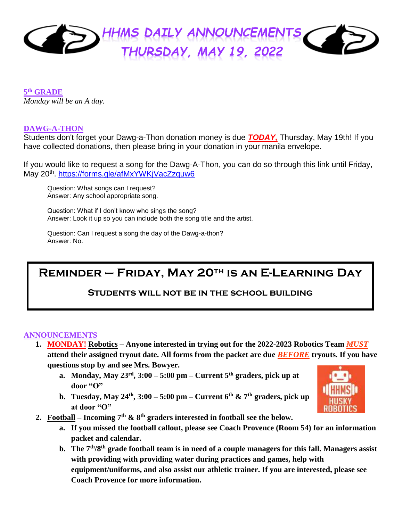

#### **5 th GRADE** *Monday will be an A day.*

#### **DAWG-A-THON**

Students don't forget your Dawg-a-Thon donation money is due *TODAY,* Thursday, May 19th! If you have collected donations, then please bring in your donation in your manila envelope.

If you would like to request a song for the Dawg-A-Thon, you can do so through this link until Friday, May 20th .<https://forms.gle/afMxYWKjVacZzquw6>

Question: What songs can I request? Answer: Any school appropriate song.

Question: What if I don't know who sings the song? Answer: Look it up so you can include both the song title and the artist.

Question: Can I request a song the day of the Dawg-a-thon? Answer: No.

# **Reminder – Friday, May 20th is an E-Learning Day**

# **Students will not be in the school building**

#### **ANNOUNCEMENTS**

- **1. MONDAY! Robotics – Anyone interested in trying out for the 2022-2023 Robotics Team** *MUST* **attend their assigned tryout date. All forms from the packet are due** *BEFORE* **tryouts. If you have questions stop by and see Mrs. Bowyer.**
	- **a. Monday, May 23rd, 3:00 – 5:00 pm – Current 5th graders, pick up at door "O"**
	- **b. Tuesday, May 24<sup>th</sup>, 3:00 5:00 pm Current 6<sup>th</sup> & 7<sup>th</sup> graders, pick up at door "O"**



- **2.** Football Incoming  $7<sup>th</sup>$  &  $8<sup>th</sup>$  graders interested in football see the below.
	- **a. If you missed the football callout, please see Coach Provence (Room 54) for an information packet and calendar.**
	- **b. The 7th/8th grade football team is in need of a couple managers for this fall. Managers assist with providing with providing water during practices and games, help with equipment/uniforms, and also assist our athletic trainer. If you are interested, please see Coach Provence for more information.**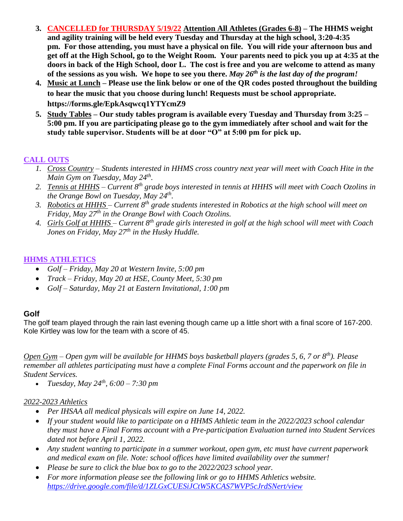- **3. CANCELLED for THURSDAY 5/19/22 Attention All Athletes (Grades 6-8) – The HHMS weight and agility training will be held every Tuesday and Thursday at the high school, 3:20-4:35 pm. For those attending, you must have a physical on file. You will ride your afternoon bus and get off at the High School, go to the Weight Room. Your parents need to pick you up at 4:35 at the doors in back of the High School, door L. The cost is free and you are welcome to attend as many of the sessions as you wish. We hope to see you there.** *May 26th is the last day of the program!*
- **4. Music at Lunch – Please use the link below or one of the QR codes posted throughout the building to hear the music that you choose during lunch! Requests must be school appropriate. <https://forms.gle/EpkAsqwcq1YTYcmZ9>**
- **5. Study Tables – Our study tables program is available every Tuesday and Thursday from 3:25 – 5:00 pm. If you are participating please go to the gym immediately after school and wait for the study table supervisor. Students will be at door "O" at 5:00 pm for pick up.**

# **CALL OUTS**

- *1. Cross Country – Students interested in HHMS cross country next year will meet with Coach Hite in the Main Gym on Tuesday, May 24th .*
- *2. Tennis at HHHS – Current 8th grade boys interested in tennis at HHHS will meet with Coach Ozolins in the Orange Bowl on Tuesday, May 24th .*
- *3. Robotics at HHHS – Current 8th grade students interested in Robotics at the high school will meet on Friday, May 27th in the Orange Bowl with Coach Ozolins.*
- *4. Girls Golf at HHHS – Current 8th grade girls interested in golf at the high school will meet with Coach Jones on Friday, May 27th in the Husky Huddle.*

## **HHMS ATHLETICS**

- *Golf – Friday, May 20 at Western Invite, 5:00 pm*
- *Track – Friday, May 20 at HSE, County Meet, 5:30 pm*
- *Golf – Saturday, May 21 at Eastern Invitational, 1:00 pm*

# **Golf**

The golf team played through the rain last evening though came up a little short with a final score of 167-200. Kole Kirtley was low for the team with a score of 45.

*Open Gym – Open gym will be available for HHMS boys basketball players (grades 5, 6, 7 or 8th). Please remember all athletes participating must have a complete Final Forms account and the paperwork on file in Student Services.*

*Tuesday, May 24th, 6:00 – 7:30 pm*

### *2022-2023 Athletics*

- *Per IHSAA all medical physicals will expire on June 14, 2022.*
- *If your student would like to participate on a HHMS Athletic team in the 2022/2023 school calendar they must have a Final Forms account with a Pre-participation Evaluation turned into Student Services dated not before April 1, 2022.*
- *Any student wanting to participate in a summer workout, open gym, etc must have current paperwork and medical exam on file. Note: school offices have limited availability over the summer!*
- *Please be sure to click the blue box to go to the 2022/2023 school year.*
- *For more information please see the following link or go to HHMS Athletics website. <https://drive.google.com/file/d/1ZLGxCUESiJCtW5KCAS7WVP5cJrdSNert/view>*